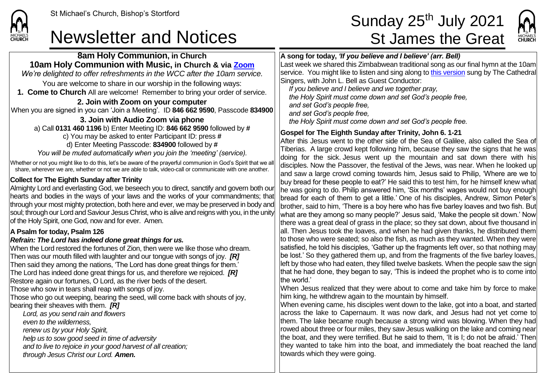## Newsletter and Notices St James the Great

**8am Holy Communion, in Church 10am Holy Communion with Music, in Church & via [Zoom](https://zoom.us/)** *We're delighted to offer refreshments in the WCC after the 10am service.* You are welcome to share in our worship in the following ways: **1. Come to Church** All are welcome! Remember to bring your order of service. **2. Join with Zoom on your computer** When you are signed in you can 'Join a Meeting'. ID **846 662 9590**, Passcode **834900 3. Join with Audio Zoom via phone**  a) Call **0131 460 1196** b) Enter Meeting ID: **846 662 9590** followed by **#** c) You may be asked to enter Participant ID: press **#** d) Enter Meeting Passcode: **834900** followed by **#** *You will be muted automatically when you join the 'meeting' (service).*

Whether or not you might like to do this, let's be aware of the prayerful communion in God's Spirit that we all share, wherever we are, whether or not we are able to talk, video-call or communicate with one another.

### **Collect for The Eighth Sunday after Trinity**

Almighty Lord and everlasting God, we beseech you to direct, sanctify and govern both our hearts and bodies in the ways of your laws and the works of your commandments; that through your most mighty protection, both here and ever, we may be preserved in body and soul; through our Lord and Saviour Jesus Christ, who is alive and reigns with you, in the unity of the Holy Spirit, one God, now and for ever. Amen.

### **A Psalm for today, Psalm 126**

**CHURCH** 

### *Refrain: The Lord has indeed done great things for us.*

When the Lord restored the fortunes of Zion, then were we like those who dream. Then was our mouth filled with laughter and our tongue with songs of joy. *[R]* Then said they among the nations, 'The Lord has done great things for them.' The Lord has indeed done great things for us, and therefore we rejoiced. *[R]* Restore again our fortunes, O Lord, as the river beds of the desert. Those who sow in tears shall reap with songs of joy.

Those who go out weeping, bearing the seed, will come back with shouts of joy, bearing their sheaves with them. *[R]*

*Lord, as you send rain and flowers even to the wilderness, renew us by your Holy Spirit, help us to sow good seed in time of adversity and to live to rejoice in your good harvest of all creation; through Jesus Christ our Lord. Amen.*

## St Michael's Church, Bishop's Stortford **Sunday 25<sup>th</sup> July 2021**



### **A song for today,** *'If you believe and I believe' (arr. Bell)*

Last week we shared this Zimbabwean traditional song as our final hymn at the 10am service. You might like to listen and sing along to [this version](https://www.youtube.com/watch?v=MRiWOu6Ha4A&list=RDMRiWOu6Ha4A&start_radio=1&rv=MRiWOu6Ha4A&t=51) sung by The Cathedral Singers, with John L. Bell as Guest Conductor:

*If you believe and I believe and we together pray,*

*the Holy Spirit must come down and set God's people free,*

*and set God's people free,*

*and set God's people free,*

*the Holy Spirit must come down and set God's people free.*

### **Gospel for The Eighth Sunday after Trinity, John 6. 1-21**

After this Jesus went to the other side of the Sea of Galilee, also called the Sea of Tiberias. A large crowd kept following him, because they saw the signs that he was doing for the sick. Jesus went up the mountain and sat down there with his disciples. Now the Passover, the festival of the Jews, was near. When he looked up and saw a large crowd coming towards him, Jesus said to Philip, 'Where are we to buy bread for these people to eat?' He said this to test him, for he himself knew what he was going to do. Philip answered him, 'Six months' wages would not buy enough bread for each of them to get a little.' One of his disciples, Andrew, Simon Peter's brother, said to him, 'There is a boy here who has five barley loaves and two fish. But what are they among so many people?' Jesus said, 'Make the people sit down.' Now there was a great deal of grass in the place; so they sat down, about five thousand in all. Then Jesus took the loaves, and when he had given thanks, he distributed them to those who were seated; so also the fish, as much as they wanted. When they were satisfied, he told his disciples, 'Gather up the fragments left over, so that nothing may be lost.' So they gathered them up, and from the fragments of the five barley loaves, left by those who had eaten, they filled twelve baskets. When the people saw the sign that he had done, they began to say, 'This is indeed the prophet who is to come into the world.'

When Jesus realized that they were about to come and take him by force to make him king, he withdrew again to the mountain by himself.

When evening came, his disciples went down to the lake, got into a boat, and started across the lake to Capernaum. It was now dark, and Jesus had not yet come to them. The lake became rough because a strong wind was blowing. When they had rowed about three or four miles, they saw Jesus walking on the lake and coming near the boat, and they were terrified. But he said to them, 'It is I; do not be afraid.' Then they wanted to take him into the boat, and immediately the boat reached the land towards which they were going.